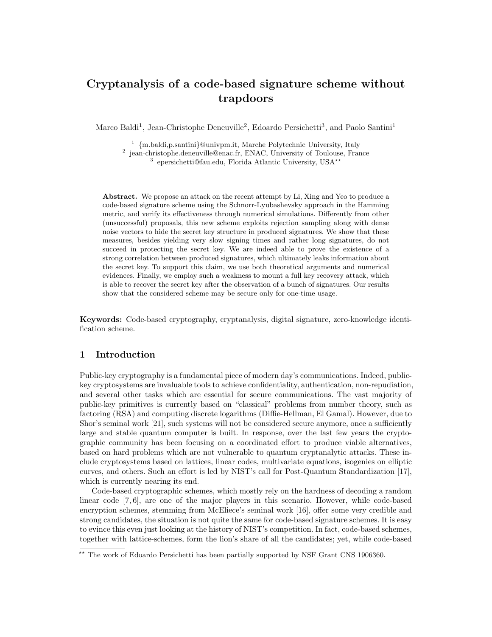# Cryptanalysis of a code-based signature scheme without trapdoors

Marco Baldi<sup>1</sup>, Jean-Christophe Deneuville<sup>2</sup>, Edoardo Persichetti<sup>3</sup>, and Paolo Santini<sup>1</sup>

<sup>1</sup> {m.baldi,p.santini}@univpm.it, Marche Polytechnic University, Italy <sup>2</sup> jean-christophe.deneuville@enac.fr, ENAC, University of Toulouse, France

<sup>3</sup> epersichetti@fau.edu, Florida Atlantic University, USA<sup>\*\*</sup>

Abstract. We propose an attack on the recent attempt by Li, Xing and Yeo to produce a code-based signature scheme using the Schnorr-Lyubashevsky approach in the Hamming metric, and verify its effectiveness through numerical simulations. Differently from other (unsuccessful) proposals, this new scheme exploits rejection sampling along with dense noise vectors to hide the secret key structure in produced signatures. We show that these measures, besides yielding very slow signing times and rather long signatures, do not succeed in protecting the secret key. We are indeed able to prove the existence of a strong correlation between produced signatures, which ultimately leaks information about the secret key. To support this claim, we use both theoretical arguments and numerical evidences. Finally, we employ such a weakness to mount a full key recovery attack, which is able to recover the secret key after the observation of a bunch of signatures. Our results show that the considered scheme may be secure only for one-time usage.

Keywords: Code-based cryptography, cryptanalysis, digital signature, zero-knowledge identification scheme.

# 1 Introduction

Public-key cryptography is a fundamental piece of modern day's communications. Indeed, publickey cryptosystems are invaluable tools to achieve confidentiality, authentication, non-repudiation, and several other tasks which are essential for secure communications. The vast majority of public-key primitives is currently based on "classical" problems from number theory, such as factoring (RSA) and computing discrete logarithms (Diffie-Hellman, El Gamal). However, due to Shor's seminal work [21], such systems will not be considered secure anymore, once a sufficiently large and stable quantum computer is built. In response, over the last few years the cryptographic community has been focusing on a coordinated effort to produce viable alternatives, based on hard problems which are not vulnerable to quantum cryptanalytic attacks. These include cryptosystems based on lattices, linear codes, multivariate equations, isogenies on elliptic curves, and others. Such an effort is led by NIST's call for Post-Quantum Standardization [17], which is currently nearing its end.

Code-based cryptographic schemes, which mostly rely on the hardness of decoding a random linear code [7, 6], are one of the major players in this scenario. However, while code-based encryption schemes, stemming from McEliece's seminal work [16], offer some very credible and strong candidates, the situation is not quite the same for code-based signature schemes. It is easy to evince this even just looking at the history of NIST's competition. In fact, code-based schemes, together with lattice-schemes, form the lion's share of all the candidates; yet, while code-based

<sup>\*\*</sup> The work of Edoardo Persichetti has been partially supported by NSF Grant CNS 1906360.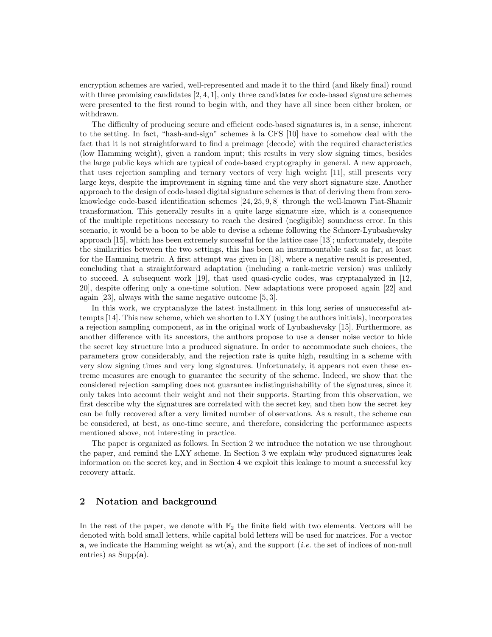encryption schemes are varied, well-represented and made it to the third (and likely final) round with three promising candidates  $[2, 4, 1]$ , only three candidates for code-based signature schemes were presented to the first round to begin with, and they have all since been either broken, or withdrawn.

The difficulty of producing secure and efficient code-based signatures is, in a sense, inherent to the setting. In fact, "hash-and-sign" schemes à la CFS [10] have to somehow deal with the fact that it is not straightforward to find a preimage (decode) with the required characteristics (low Hamming weight), given a random input; this results in very slow signing times, besides the large public keys which are typical of code-based cryptography in general. A new approach, that uses rejection sampling and ternary vectors of very high weight [11], still presents very large keys, despite the improvement in signing time and the very short signature size. Another approach to the design of code-based digital signature schemes is that of deriving them from zeroknowledge code-based identification schemes [24, 25, 9, 8] through the well-known Fiat-Shamir transformation. This generally results in a quite large signature size, which is a consequence of the multiple repetitions necessary to reach the desired (negligible) soundness error. In this scenario, it would be a boon to be able to devise a scheme following the Schnorr-Lyubashevsky approach [15], which has been extremely successful for the lattice case [13]; unfortunately, despite the similarities between the two settings, this has been an insurmountable task so far, at least for the Hamming metric. A first attempt was given in [18], where a negative result is presented, concluding that a straightforward adaptation (including a rank-metric version) was unlikely to succeed. A subsequent work [19], that used quasi-cyclic codes, was cryptanalyzed in [12, 20], despite offering only a one-time solution. New adaptations were proposed again [22] and again [23], always with the same negative outcome [5, 3].

In this work, we cryptanalyze the latest installment in this long series of unsuccessful attempts [14]. This new scheme, which we shorten to LXY (using the authors initials), incorporates a rejection sampling component, as in the original work of Lyubashevsky [15]. Furthermore, as another difference with its ancestors, the authors propose to use a denser noise vector to hide the secret key structure into a produced signature. In order to accommodate such choices, the parameters grow considerably, and the rejection rate is quite high, resulting in a scheme with very slow signing times and very long signatures. Unfortunately, it appears not even these extreme measures are enough to guarantee the security of the scheme. Indeed, we show that the considered rejection sampling does not guarantee indistinguishability of the signatures, since it only takes into account their weight and not their supports. Starting from this observation, we first describe why the signatures are correlated with the secret key, and then how the secret key can be fully recovered after a very limited number of observations. As a result, the scheme can be considered, at best, as one-time secure, and therefore, considering the performance aspects mentioned above, not interesting in practice.

The paper is organized as follows. In Section 2 we introduce the notation we use throughout the paper, and remind the LXY scheme. In Section 3 we explain why produced signatures leak information on the secret key, and in Section 4 we exploit this leakage to mount a successful key recovery attack.

# 2 Notation and background

In the rest of the paper, we denote with  $\mathbb{F}_2$  the finite field with two elements. Vectors will be denoted with bold small letters, while capital bold letters will be used for matrices. For a vector **a**, we indicate the Hamming weight as  $wt(a)$ , and the support *(i.e.* the set of indices of non-null entries) as  $Supp(a)$ .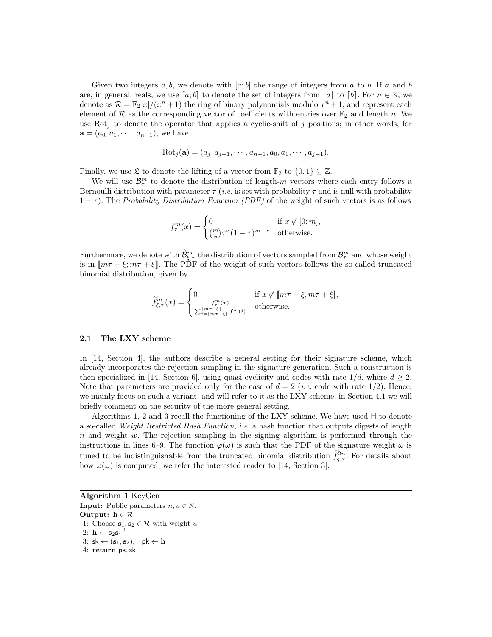Given two integers  $a, b$ , we denote with  $[a; b]$  the range of integers from a to b. If a and b are, in general, reals, we use  $[a; b]$  to denote the set of integers from  $|a|$  to  $[b]$ . For  $n \in \mathbb{N}$ , we denote as  $\mathcal{R} = \mathbb{F}_2[x]/(x^n + 1)$  the ring of binary polynomials modulo  $x^n + 1$ , and represent each element of R as the corresponding vector of coefficients with entries over  $\mathbb{F}_2$  and length n. We use Rot<sub>j</sub> to denote the operator that applies a cyclic-shift of j positions; in other words, for  $\mathbf{a} = (a_0, a_1, \cdots, a_{n-1}),$  we have

$$
Rotj(a) = (aj, aj+1, \cdots, an-1, a0, a1, \cdots, aj-1).
$$

Finally, we use  $\mathfrak L$  to denote the lifting of a vector from  $\mathbb{F}_2$  to  $\{0,1\} \subseteq \mathbb{Z}$ .

We will use  $\mathcal{B}_{\tau}^{m}$  to denote the distribution of length-m vectors where each entry follows a Bernoulli distribution with parameter  $\tau$  (*i.e.* is set with probability  $\tau$  and is null with probability  $(1 - \tau)$ . The Probability Distribution Function (PDF) of the weight of such vectors is as follows

$$
f_{\tau}^{m}(x) = \begin{cases} 0 & \text{if } x \notin [0; m], \\ \binom{m}{x} \tau^{x} (1 - \tau)^{m - x} & \text{otherwise.} \end{cases}
$$

Furthermore, we denote with  $\tilde{\mathcal{B}}_{\tau}^m$  the distribution of vectors sampled from  $\mathcal{B}_{\tau}^m$  and whose weight is in  $[m\tau - \xi, m\tau + \xi]$ . The PDF of the weight of such vectors follows the so-called truncated binomial distribution, given by

$$
\widetilde{f}_{\xi,\tau}^m(x) = \begin{cases}\n0 & \text{if } x \notin [m\tau - \xi, m\tau + \xi], \\
\frac{f_{\tau}^m(x)}{\sum_{i=\lfloor m\tau - \xi \rfloor}^{m\tau + \xi} f_{\tau}^m(i)} & \text{otherwise.} \n\end{cases}
$$

### 2.1 The LXY scheme

In [14, Section 4], the authors describe a general setting for their signature scheme, which already incorporates the rejection sampling in the signature generation. Such a construction is then specialized in [14, Section 6], using quasi-cyclicity and codes with rate  $1/d$ , where  $d \geq 2$ . Note that parameters are provided only for the case of  $d = 2$  (*i.e.* code with rate 1/2). Hence, we mainly focus on such a variant, and will refer to it as the LXY scheme; in Section 4.1 we will briefly comment on the security of the more general setting.

Algorithms 1, 2 and 3 recall the functioning of the LXY scheme. We have used H to denote a so-called Weight Restricted Hash Function, i.e. a hash function that outputs digests of length  $n$  and weight w. The rejection sampling in the signing algorithm is performed through the instructions in lines 6–9. The function  $\varphi(\omega)$  is such that the PDF of the signature weight  $\omega$  is tuned to be indistinguishable from the truncated binomial distribution  $\tilde{f}^{2n}_{\xi,\tau}$ . For details about how  $\varphi(\omega)$  is computed, we refer the interested reader to [14, Section 3].

| <b>Algorithm 1 KeyGen</b>                                 |  |
|-----------------------------------------------------------|--|
| <b>Input:</b> Public parameters $n, u \in \mathbb{N}$ .   |  |
| Output: $h \in \mathcal{R}$                               |  |
| 1: Choose $s_1, s_2 \in \mathcal{R}$ with weight u        |  |
| 2: $\mathbf{h} \leftarrow \mathbf{s}_2 \mathbf{s}_1^{-1}$ |  |
| 3: $sk \leftarrow (s_1, s_2)$ , $pk \leftarrow h$         |  |
| 4: return pk, sk                                          |  |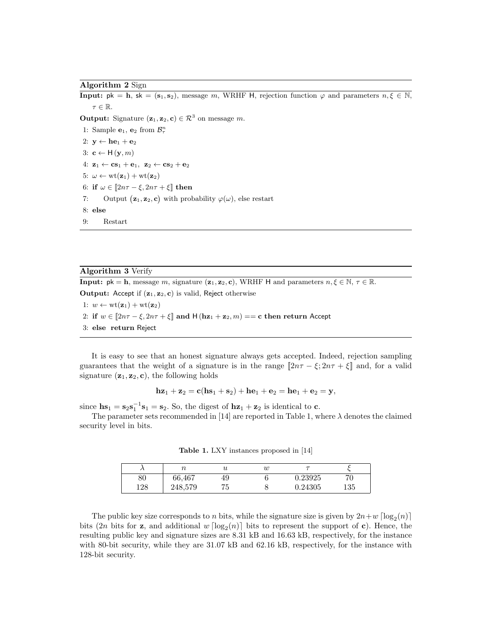Algorithm 2 Sign

**Input:**  $pk = h$ ,  $sk = (s_1, s_2)$ , message m, WRHF H, rejection function  $\varphi$  and parameters  $n, \xi \in \mathbb{N}$ ,  $\tau \in \mathbb{R}$ .

**Output:** Signature  $(\mathbf{z}_1, \mathbf{z}_2, \mathbf{c}) \in \mathbb{R}^3$  on message m.

1: Sample  $\mathbf{e}_1, \mathbf{e}_2$  from  $\mathcal{B}_{\tau}^n$ 2:  $y \leftarrow he_1 + e_2$ 3: **c**  $\leftarrow$  H  $(\mathbf{y}, m)$ 4:  $\mathbf{z}_1 \leftarrow \mathbf{c}\mathbf{s}_1 + \mathbf{e}_1$ ,  $\mathbf{z}_2 \leftarrow \mathbf{c}\mathbf{s}_2 + \mathbf{e}_2$ 5:  $\omega \leftarrow \text{wt}(\mathbf{z}_1) + \text{wt}(\mathbf{z}_2)$ 6: if  $\omega \in [2n\tau - \xi, 2n\tau + \xi]$  then 7: Output  $(\mathbf{z}_1, \mathbf{z}_2, \mathbf{c})$  with probability  $\varphi(\omega)$ , else restart 8: else 9: Restart

### Algorithm 3 Verify

**Input:**  $pk = h$ , message m, signature  $(z_1, z_2, c)$ , WRHF H and parameters  $n, \xi \in \mathbb{N}, \tau \in \mathbb{R}$ . Output: Accept if  $(z_1, z_2, c)$  is valid, Reject otherwise

- 1:  $w \leftarrow \text{wt}(\mathbf{z}_1) + \text{wt}(\mathbf{z}_2)$
- 2: if  $w \in [2n\tau \xi, 2n\tau + \xi]$  and  $H(hz_1 + z_2, m) == c$  then return Accept
- 3: else return Reject

It is easy to see that an honest signature always gets accepted. Indeed, rejection sampling guarantees that the weight of a signature is in the range  $[2n\tau - \xi; 2n\tau + \xi]$  and, for a valid signature  $(\mathbf{z}_1, \mathbf{z}_2, \mathbf{c})$ , the following holds

$$
\mathbf{h} \mathbf{z}_1 + \mathbf{z}_2 = \mathbf{c}(\mathbf{h} \mathbf{s}_1 + \mathbf{s}_2) + \mathbf{h} \mathbf{e}_1 + \mathbf{e}_2 = \mathbf{h} \mathbf{e}_1 + \mathbf{e}_2 = \mathbf{y},
$$

since  $\mathbf{h}\mathbf{s}_1 = \mathbf{s}_2 \mathbf{s}_1^{-1} \mathbf{s}_1 = \mathbf{s}_2$ . So, the digest of  $\mathbf{h}\mathbf{z}_1 + \mathbf{z}_2$  is identical to **c**.

The parameter sets recommended in [14] are reported in Table 1, where  $\lambda$  denotes the claimed security level in bits.

Table 1. LXY instances proposed in [14]

|         | m       | u      | w |         |     |
|---------|---------|--------|---|---------|-----|
| $_{80}$ | 66,467  | 49     |   | 0.23925 | 70  |
| 128     | 248,579 | h<br>◡ |   | 0.24305 | 135 |

The public key size corresponds to n bits, while the signature size is given by  $2n+w \lceil \log_2(n) \rceil$ bits (2n bits for **z**, and additional  $w \lfloor \log_2(n) \rfloor$  bits to represent the support of **c**). Hence, the resulting public key and signature sizes are 8.31 kB and 16.63 kB, respectively, for the instance with 80-bit security, while they are  $31.07$  kB and  $62.16$  kB, respectively, for the instance with 128-bit security.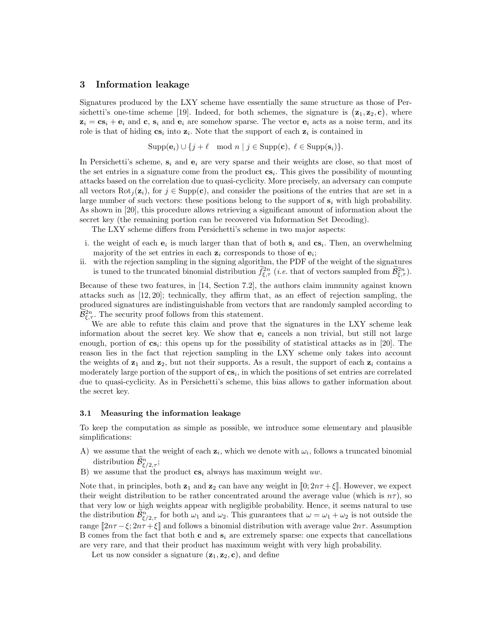### 3 Information leakage

Signatures produced by the LXY scheme have essentially the same structure as those of Persichetti's one-time scheme [19]. Indeed, for both schemes, the signature is  $(\mathbf{z}_1, \mathbf{z}_2, \mathbf{c})$ , where  $z_i = cs_i + e_i$  and c,  $s_i$  and  $e_i$  are somehow sparse. The vector  $e_i$  acts as a noise term, and its role is that of hiding  $cs_i$  into  $z_i$ . Note that the support of each  $z_i$  is contained in

$$
Supp(\mathbf{e}_i) \cup \{j+\ell \mod n \mid j \in \text{Supp}(\mathbf{c}), \ell \in \text{Supp}(\mathbf{s}_i)\}.
$$

In Persichetti's scheme,  $s_i$  and  $e_i$  are very sparse and their weights are close, so that most of the set entries in a signature come from the product  $cs_i$ . This gives the possibility of mounting attacks based on the correlation due to quasi-cyclicity. More precisely, an adversary can compute all vectors  $Rot_i(z_i)$ , for  $j \in Supp(c)$ , and consider the positions of the entries that are set in a large number of such vectors: these positions belong to the support of  $s_i$  with high probability. As shown in [20], this procedure allows retrieving a significant amount of information about the secret key (the remaining portion can be recovered via Information Set Decoding).

The LXY scheme differs from Persichetti's scheme in two major aspects:

- i. the weight of each  $e_i$  is much larger than that of both  $s_i$  and  $cs_i$ . Then, an overwhelming majority of the set entries in each  $z_i$  corresponds to those of  $e_i$ ;
- ii. with the rejection sampling in the signing algorithm, the PDF of the weight of the signatures is tuned to the truncated binomial distribution  $\tilde{f}^{2n}_{\xi,\tau}$  (*i.e.* that of vectors sampled from  $\tilde{B}^{2n}_{\xi,\tau}$ ).

Because of these two features, in [14, Section 7.2], the authors claim immunity against known attacks such as [12, 20]; technically, they affirm that, as an effect of rejection sampling, the produced signatures are indistinguishable from vectors that are randomly sampled according to  $\widetilde{\mathcal{B}}_{\xi,\tau}^{2n}$ . The security proof follows from this statement.

We are able to refute this claim and prove that the signatures in the LXY scheme leak information about the secret key. We show that  $e_i$  cancels a non trivial, but still not large enough, portion of  $cs_i$ : this opens up for the possibility of statistical attacks as in [20]. The reason lies in the fact that rejection sampling in the LXY scheme only takes into account the weights of  $z_1$  and  $z_2$ , but not their supports. As a result, the support of each  $z_i$  contains a moderately large portion of the support of  $cs_i$ , in which the positions of set entries are correlated due to quasi-cyclicity. As in Persichetti's scheme, this bias allows to gather information about the secret key.

#### 3.1 Measuring the information leakage

To keep the computation as simple as possible, we introduce some elementary and plausible simplifications:

- A) we assume that the weight of each  $z_i$ , which we denote with  $\omega_i$ , follows a truncated binomial distribution  $\widetilde{\mathcal{B}}_{\xi/2,\tau}^n$ ;
- B) we assume that the product  $cs_i$  always has maximum weight uw.

Note that, in principles, both  $z_1$  and  $z_2$  can have any weight in  $[0; 2n\tau + \xi]$ . However, we expect their weight distribution to be rather concentrated around the average value (which is  $n\tau$ ), so that very low or high weights appear with negligible probability. Hence, it seems natural to use the distribution  $\tilde{\mathcal{B}}_{\xi/2,\tau}^n$  for both  $\omega_1$  and  $\omega_2$ . This guarantees that  $\omega = \omega_1 + \omega_2$  is not outside the range  $[2n\tau - \xi; 2n\tau + \xi]$  and follows a binomial distribution with average value  $2n\tau$ . Assumption B comes from the fact that both c and  $s_i$  are extremely sparse: one expects that cancellations are very rare, and that their product has maximum weight with very high probability.

Let us now consider a signature  $(z_1, z_2, c)$ , and define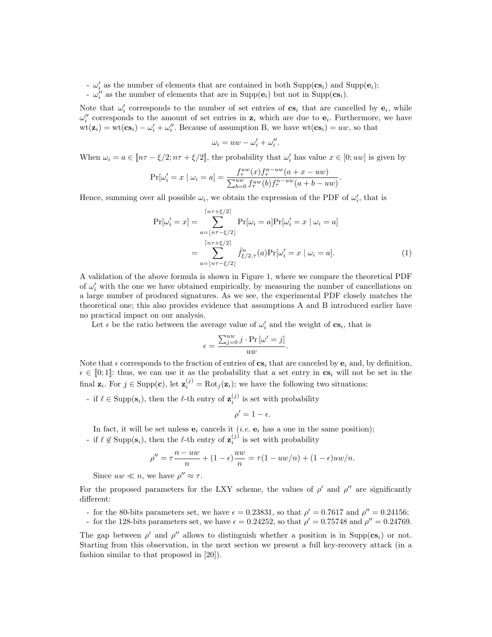-  $\omega'_i$  as the number of elements that are contained in both Supp( $\mathbf{c}_s$ ) and Supp( $\mathbf{e}_i$ );

 $-\omega_i''$  as the number of elements that are in Supp $(e_i)$  but not in Supp $(\mathbf{cs}_i)$ .

Note that  $\omega'_i$  corresponds to the number of set entries of  $cs_i$  that are cancelled by  $e_i$ , while  $\omega''_i$  corresponds to the amount of set entries in  $z_i$  which are due to  $e_i$ . Furthermore, we have  $wt(\mathbf{z}_i) = wt(\mathbf{cs}_i) - \omega'_i + \omega''_i$ . Because of assumption B, we have  $wt(\mathbf{cs}_i) = uw$ , so that

$$
\omega_i = uw - \omega_i' + \omega_i''.
$$

When  $\omega_i = a \in [\![ n\tau - \xi/2; n\tau + \xi/2]\!]$ , the probability that  $\omega'_i$  has value  $x \in [0; uw]$  is given by

$$
\Pr[\omega_i' = x \mid \omega_i = a] = \frac{f_i^{uw}(x) f_i^{n-uw}(a + x - uw)}{\sum_{b=0}^{uw} f_i^{nw}(b) f_i^{n-uw}(a + b - uw)}.
$$

Hence, summing over all possible  $\omega_i$ , we obtain the expression of the PDF of  $\omega'_i$ , that is

$$
\Pr[\omega_i' = x] = \sum_{a=\lfloor n\tau - \xi/2 \rfloor}^{\lceil n\tau + \xi/2 \rceil} \Pr[\omega_i = a] \Pr[\omega_i' = x \mid \omega_i = a]
$$

$$
= \sum_{a=\lfloor n\tau - \xi/2 \rfloor}^{\lceil n\tau + \xi/2 \rceil} \tilde{f}_{\xi/2,\tau}^n(a) \Pr[\omega_i' = x \mid \omega_i = a]. \tag{1}
$$

A validation of the above formula is shown in Figure 1, where we compare the theoretical PDF of  $\omega'_{i}$  with the one we have obtained empirically, by measuring the number of cancellations on a large number of produced signatures. As we see, the experimental PDF closely matches the theoretical one; this also provides evidence that assumptions A and B introduced earlier have no practical impact on our analysis.

Let  $\epsilon$  be the ratio between the average value of  $\omega'_i$  and the weight of  $cs_i$ , that is

$$
\epsilon = \frac{\sum_{j=0}^{uw} j \cdot \Pr\left[\omega' = j\right]}{uw}.
$$

Note that  $\epsilon$  corresponds to the fraction of entries of  $cs_i$  that are canceled by  $\mathbf{e}_i$  and, by definition,  $\epsilon \in [0; 1]$ : thus, we can use it as the probability that a set entry in  $cs_i$  will not be set in the final  $\mathbf{z}_i$ . For  $j \in \text{Supp}(\mathbf{c})$ , let  $\mathbf{z}_i^{(j)} = \text{Rot}_j(\mathbf{z}_i)$ ; we have the following two situations:

- if  $\ell \in \text{Supp}(s_i)$ , then the  $\ell$ -th entry of  $\mathbf{z}_i^{(j)}$  is set with probability

$$
\rho'=1-\epsilon.
$$

In fact, it will be set unless  $e_i$  cancels it (*i.e.*  $e_i$  has a one in the same position); - if  $\ell \notin \text{Supp}(s_i)$ , then the  $\ell$ -th entry of  $z_i^{(j)}$  is set with probability

$$
\rho'' = \tau \frac{n - uw}{n} + (1 - \epsilon) \frac{uw}{n} = \tau (1 - uw/n) + (1 - \epsilon)uw/n.
$$

Since  $uw \ll n$ , we have  $\rho'' \approx \tau$ .

For the proposed parameters for the LXY scheme, the values of  $\rho'$  and  $\rho''$  are significantly different:

- for the 80-bits parameters set, we have  $\epsilon = 0.23831$ , so that  $\rho' = 0.7617$  and  $\rho'' = 0.24156$ ;

- for the 128-bits parameters set, we have  $\epsilon = 0.24252$ , so that  $\rho' = 0.75748$  and  $\rho'' = 0.24769$ .

The gap between  $\rho'$  and  $\rho''$  allows to distinguish whether a position is in Supp( $cs_i$ ) or not. Starting from this observation, in the next section we present a full key-recovery attack (in a fashion similar to that proposed in [20]).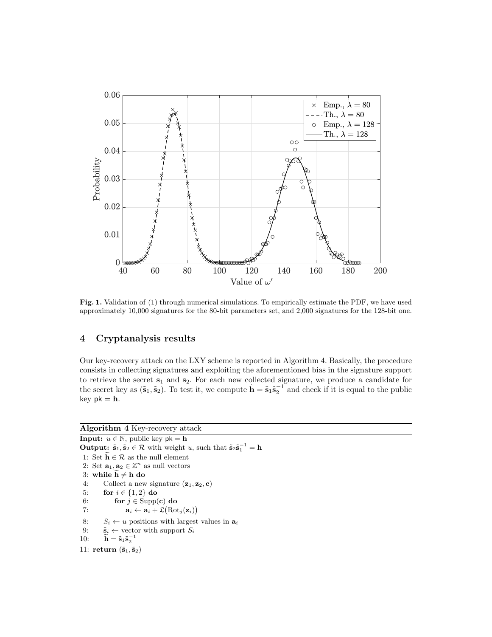

Fig. 1. Validation of (1) through numerical simulations. To empirically estimate the PDF, we have used approximately 10,000 signatures for the 80-bit parameters set, and 2,000 signatures for the 128-bit one.

### 4 Cryptanalysis results

Our key-recovery attack on the LXY scheme is reported in Algorithm 4. Basically, the procedure consists in collecting signatures and exploiting the aforementioned bias in the signature support to retrieve the secret  $s_1$  and  $s_2$ . For each new collected signature, we produce a candidate for the secret key as  $(\tilde{s}_1, \tilde{s}_2)$ . To test it, we compute  $\tilde{h} = \tilde{s}_1 \tilde{s}_2^{-1}$  and check if it is equal to the public key  $pk = h$ .

# Algorithm 4 Key-recovery attack

**Input:**  $u \in \mathbb{N}$ , public key  $pk = h$ **Output:**  $\tilde{\mathbf{s}}_1, \tilde{\mathbf{s}}_2 \in \mathcal{R}$  with weight u, such that  $\tilde{\mathbf{s}}_2 \tilde{\mathbf{s}}_1^{-1} = \mathbf{h}$ 1: Set  $\widetilde{\mathbf{h}} \in \mathcal{R}$  as the null element 2: Set  $\mathbf{a}_1, \mathbf{a}_2 \in \mathbb{Z}^n$  as null vectors 3: while  $\widetilde{\mathbf{h}} \neq \mathbf{h}$  do<br>4: Collect a new Collect a new signature  $(\mathbf{z}_1, \mathbf{z}_2, \mathbf{c})$ 5: for  $i \in \{1, 2\}$  do 6: for  $j \in \text{Supp}(\mathbf{c})$  do 7:  $\mathbf{a}_i \leftarrow \mathbf{a}_i + \mathfrak{L}(\text{Rot}_j(\mathbf{z}_i))$ 8:  $S_i \leftarrow u$  positions with largest values in  $a_i$ 9:  $\tilde{\mathbf{s}}_i \leftarrow \text{vector with support } S_i$ 10:  $\widetilde{\mathbf{h}} = \widetilde{\mathbf{s}}_1 \widetilde{\mathbf{s}}_2^{-1}$ 11: return  $(\tilde{\mathbf{s}}_1, \tilde{\mathbf{s}}_2)$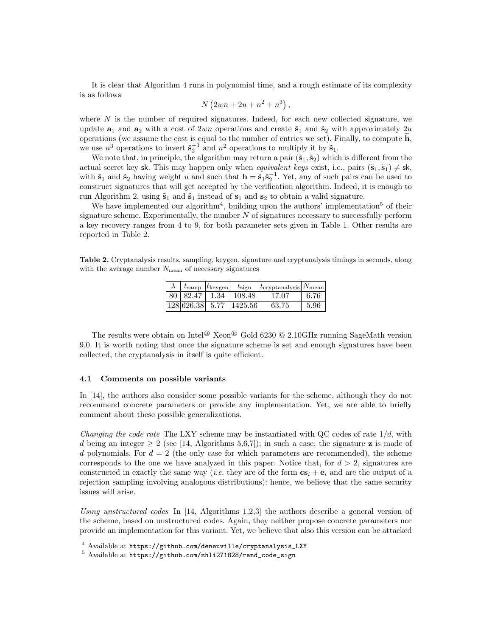It is clear that Algorithm 4 runs in polynomial time, and a rough estimate of its complexity is as follows

$$
N(2wn + 2u + n^2 + n^3)
$$
,

where  $N$  is the number of required signatures. Indeed, for each new collected signature, we update  $a_1$  and  $a_2$  with a cost of 2wn operations and create  $\tilde{s}_1$  and  $\tilde{s}_2$  with approximately 2u operations (we assume the cost is equal to the number of entries we set). Finally, to compute  $\mathbf{h}$ , we use  $n^3$  operations to invert  $\tilde{s}_2^{-1}$  and  $n^2$  operations to multiply it by  $\tilde{s}_1$ .

We note that, in principle, the algorithm may return a pair  $(\tilde{s}_1, \tilde{s}_2)$  which is different from the actual secret key sk. This may happen only when *equivalent keys* exist, i.e., pairs  $(\tilde{s}_1, \tilde{s}_1) \neq s$ k, with  $\tilde{\mathbf{s}}_1$  and  $\tilde{\mathbf{s}}_2$  having weight u and such that  $\mathbf{h} = \tilde{\mathbf{s}}_1 \tilde{\mathbf{s}}_2^{-1}$ . Yet, any of such pairs can be used to construct signatures that will get accepted by the verification algorithm. Indeed, it is enough to run Algorithm 2, using  $\tilde{s}_1$  and  $\tilde{s}_1$  instead of  $s_1$  and  $s_2$  to obtain a valid signature.

We have implemented our algorithm<sup>4</sup>, building upon the authors' implementation<sup>5</sup> of their signature scheme. Experimentally, the number  $N$  of signatures necessary to successfully perform a key recovery ranges from 4 to 9, for both parameter sets given in Table 1. Other results are reported in Table 2.

Table 2. Cryptanalysis results, sampling, keygen, signature and cryptanalysis timings in seconds, along with the average number  $N_{\text{mean}}$  of necessary signatures

|  | $t_{\rm samp}$   $t_{\rm keygen}$ | $t_{\rm sign}$                  | $ t_{\rm cryptanalysis} N_{\rm mean} $ |       |
|--|-----------------------------------|---------------------------------|----------------------------------------|-------|
|  |                                   | 80   82.47   1.34   108.48      | 17.07                                  | -6.76 |
|  |                                   | $ 128 626.38 $ 5.77 $ 1425.56 $ | 63.75                                  | 5.96  |

The results were obtain on Intel<sup>®</sup> Xeon<sup>®</sup> Gold 6230 @ 2.10GHz running SageMath version 9.0. It is worth noting that once the signature scheme is set and enough signatures have been collected, the cryptanalysis in itself is quite efficient.

### 4.1 Comments on possible variants

In [14], the authors also consider some possible variants for the scheme, although they do not recommend concrete parameters or provide any implementation. Yet, we are able to briefly comment about these possible generalizations.

*Changing the code rate* The LXY scheme may be instantiated with QC codes of rate  $1/d$ , with d being an integer  $\geq 2$  (see [14, Algorithms 5,6,7]); in such a case, the signature **z** is made of d polynomials. For  $d = 2$  (the only case for which parameters are recommended), the scheme corresponds to the one we have analyzed in this paper. Notice that, for  $d > 2$ , signatures are constructed in exactly the same way (*i.e.* they are of the form  $cs_i + e_i$  and are the output of a rejection sampling involving analogous distributions): hence, we believe that the same security issues will arise.

Using unstructured codes In [14, Algorithms 1,2,3] the authors describe a general version of the scheme, based on unstructured codes. Again, they neither propose concrete parameters nor provide an implementation for this variant. Yet, we believe that also this version can be attacked

<sup>4</sup> Available at https://github.com/deneuville/cryptanalysis\_LXY

<sup>5</sup> Available at https://github.com/zhli271828/rand\_code\_sign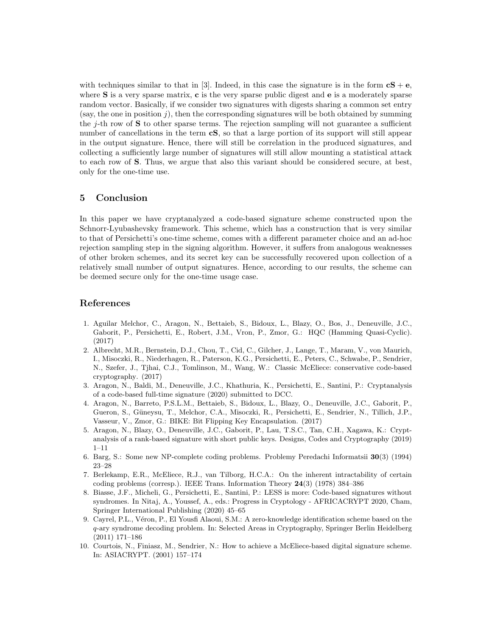with techniques similar to that in [3]. Indeed, in this case the signature is in the form  $cS + e$ , where  $S$  is a very sparse matrix,  $c$  is the very sparse public digest and  $e$  is a moderately sparse random vector. Basically, if we consider two signatures with digests sharing a common set entry (say, the one in position  $j$ ), then the corresponding signatures will be both obtained by summing the  $j$ -th row of  $S$  to other sparse terms. The rejection sampling will not guarantee a sufficient number of cancellations in the term  $\mathbf{cS}$ , so that a large portion of its support will still appear in the output signature. Hence, there will still be correlation in the produced signatures, and collecting a sufficiently large number of signatures will still allow mounting a statistical attack to each row of S. Thus, we argue that also this variant should be considered secure, at best, only for the one-time use.

### 5 Conclusion

In this paper we have cryptanalyzed a code-based signature scheme constructed upon the Schnorr-Lyubashevsky framework. This scheme, which has a construction that is very similar to that of Persichetti's one-time scheme, comes with a different parameter choice and an ad-hoc rejection sampling step in the signing algorithm. However, it suffers from analogous weaknesses of other broken schemes, and its secret key can be successfully recovered upon collection of a relatively small number of output signatures. Hence, according to our results, the scheme can be deemed secure only for the one-time usage case.

### References

- 1. Aguilar Melchor, C., Aragon, N., Bettaieb, S., Bidoux, L., Blazy, O., Bos, J., Deneuville, J.C., Gaborit, P., Persichetti, E., Robert, J.M., Vron, P., Zmor, G.: HQC (Hamming Quasi-Cyclic). (2017)
- 2. Albrecht, M.R., Bernstein, D.J., Chou, T., Cid, C., Gilcher, J., Lange, T., Maram, V., von Maurich, I., Misoczki, R., Niederhagen, R., Paterson, K.G., Persichetti, E., Peters, C., Schwabe, P., Sendrier, N., Szefer, J., Tjhai, C.J., Tomlinson, M., Wang, W.: Classic McEliece: conservative code-based cryptography. (2017)
- 3. Aragon, N., Baldi, M., Deneuville, J.C., Khathuria, K., Persichetti, E., Santini, P.: Cryptanalysis of a code-based full-time signature (2020) submitted to DCC.
- 4. Aragon, N., Barreto, P.S.L.M., Bettaieb, S., Bidoux, L., Blazy, O., Deneuville, J.C., Gaborit, P., Gueron, S., Güneysu, T., Melchor, C.A., Misoczki, R., Persichetti, E., Sendrier, N., Tillich, J.P., Vasseur, V., Zmor, G.: BIKE: Bit Flipping Key Encapsulation. (2017)
- 5. Aragon, N., Blazy, O., Deneuville, J.C., Gaborit, P., Lau, T.S.C., Tan, C.H., Xagawa, K.: Cryptanalysis of a rank-based signature with short public keys. Designs, Codes and Cryptography (2019) 1–11
- 6. Barg, S.: Some new NP-complete coding problems. Problemy Peredachi Informatsii 30(3) (1994) 23–28
- 7. Berlekamp, E.R., McEliece, R.J., van Tilborg, H.C.A.: On the inherent intractability of certain coding problems (corresp.). IEEE Trans. Information Theory 24(3) (1978) 384–386
- 8. Biasse, J.F., Micheli, G., Persichetti, E., Santini, P.: LESS is more: Code-based signatures without syndromes. In Nitaj, A., Youssef, A., eds.: Progress in Cryptology - AFRICACRYPT 2020, Cham, Springer International Publishing (2020) 45–65
- 9. Cayrel, P.L., Véron, P., El Yousfi Alaoui, S.M.: A zero-knowledge identification scheme based on the q-ary syndrome decoding problem. In: Selected Areas in Cryptography, Springer Berlin Heidelberg (2011) 171–186
- 10. Courtois, N., Finiasz, M., Sendrier, N.: How to achieve a McEliece-based digital signature scheme. In: ASIACRYPT. (2001) 157–174